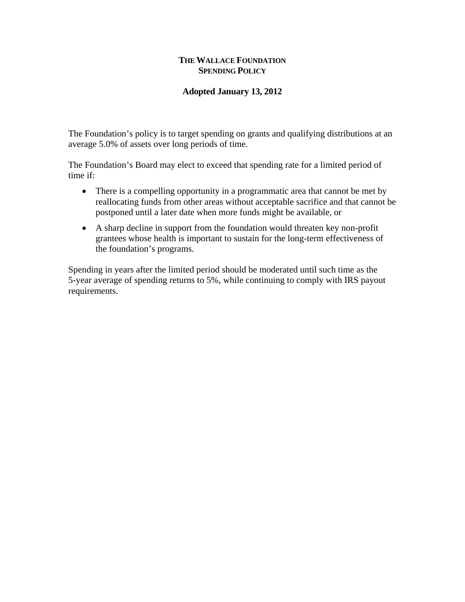## **THE WALLACE FOUNDATION SPENDING POLICY**

## **Adopted January 13, 2012**

The Foundation's policy is to target spending on grants and qualifying distributions at an average 5.0% of assets over long periods of time.

The Foundation's Board may elect to exceed that spending rate for a limited period of time if:

- There is a compelling opportunity in a programmatic area that cannot be met by reallocating funds from other areas without acceptable sacrifice and that cannot be postponed until a later date when more funds might be available, or
- A sharp decline in support from the foundation would threaten key non-profit grantees whose health is important to sustain for the long-term effectiveness of the foundation's programs.

Spending in years after the limited period should be moderated until such time as the 5-year average of spending returns to 5%, while continuing to comply with IRS payout requirements.